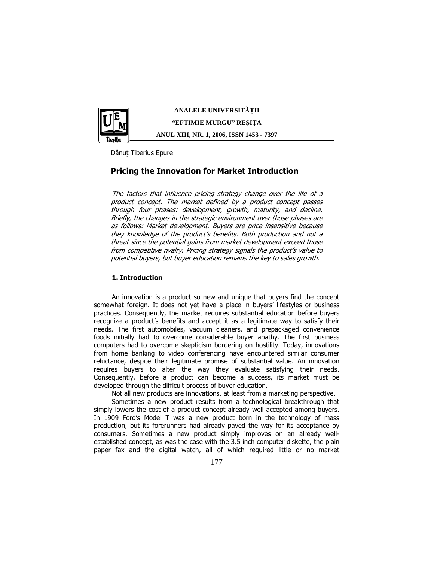

**ANALELE UNIVERSITĂTII** "EFTIMIE MURGU" REȘIȚA ANUL XIII, NR. 1, 2006, ISSN 1453 - 7397

Dănuț Tiberius Epure

# **Pricing the Innovation for Market Introduction**

The factors that influence pricing strategy change over the life of a product concept. The market defined by a product concept passes through four phases: development, growth, maturity, and decline. Briefly, the changes in the strategic environment over those phases are as follows: Market development. Buyers are price insensitive because they knowledge of the product's benefits. Both production and not a threat since the potential gains from market development exceed those from competitive rivalry. Pricing strategy signals the product's value to potential buyers, but buyer education remains the key to sales growth.

## 1. Introduction

An innovation is a product so new and unique that buyers find the concept somewhat foreign. It does not yet have a place in buyers' lifestyles or business practices. Consequently, the market requires substantial education before buyers recognize a product's benefits and accept it as a legitimate way to satisfy their needs. The first automobiles, vacuum cleaners, and prepackaged convenience foods initially had to overcome considerable buyer apathy. The first business computers had to overcome skepticism bordering on hostility. Today, innovations from home banking to video conferencing have encountered similar consumer reluctance, despite their legitimate promise of substantial value. An innovation requires buyers to alter the way they evaluate satisfying their needs. Consequently, before a product can become a success, its market must be developed through the difficult process of buyer education.

Not all new products are innovations, at least from a marketing perspective.

Sometimes a new product results from a technological breakthrough that simply lowers the cost of a product concept already well accepted among buyers. In 1909 Ford's Model T was a new product born in the technology of mass production, but its forerunners had already paved the way for its acceptance by consumers. Sometimes a new product simply improves on an already wellestablished concept, as was the case with the 3.5 inch computer diskette, the plain paper fax and the digital watch, all of which required little or no market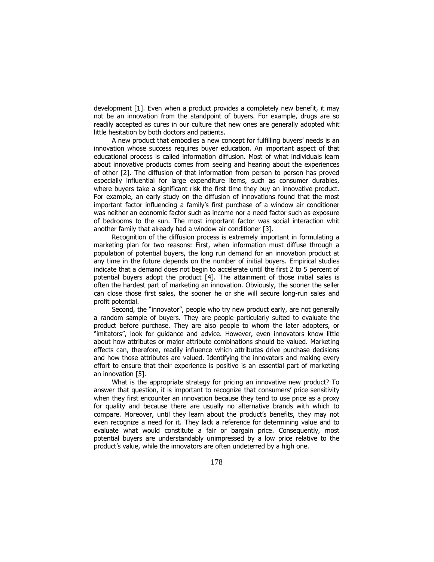development [1]. Even when a product provides a completely new benefit, it may not be an innovation from the standpoint of buyers. For example, drugs are so readily accepted as cures in our culture that new ones are generally adopted whit little hesitation by both doctors and patients.

A new product that embodies a new concept for fulfilling buyers' needs is an innovation whose success requires buyer education. An important aspect of that educational process is called information diffusion. Most of what individuals learn about innovative products comes from seeing and hearing about the experiences of other [2]. The diffusion of that information from person to person has proved especially influential for large expenditure items, such as consumer durables, where buyers take a significant risk the first time they buy an innovative product. For example, an early study on the diffusion of innovations found that the most important factor influencing a family's first purchase of a window air conditioner was neither an economic factor such as income nor a need factor such as exposure of bedrooms to the sun. The most important factor was social interaction whit another family that already had a window air conditioner [3].

Recognition of the diffusion process is extremely important in formulating a marketing plan for two reasons: First, when information must diffuse through a population of potential buyers, the long run demand for an innovation product at any time in the future depends on the number of initial buyers. Empirical studies indicate that a demand does not begin to accelerate until the first 2 to 5 percent of potential buyers adopt the product [4]. The attainment of those initial sales is often the hardest part of marketing an innovation. Obviously, the sooner the seller can close those first sales, the sooner he or she will secure long-run sales and profit potential.

Second, the "innovator", people who try new product early, are not generally a random sample of buyers. They are people particularly suited to evaluate the product before purchase. They are also people to whom the later adopters, or "imitators", look for guidance and advice. However, even innovators know little about how attributes or major attribute combinations should be valued. Marketing effects can, therefore, readily influence which attributes drive purchase decisions and how those attributes are valued. Identifying the innovators and making every effort to ensure that their experience is positive is an essential part of marketing an innovation [5].

What is the appropriate strategy for pricing an innovative new product? To answer that question, it is important to recognize that consumers' price sensitivity when they first encounter an innovation because they tend to use price as a proxy for quality and because there are usually no alternative brands with which to compare. Moreover, until they learn about the product's benefits, they may not even recognize a need for it. They lack a reference for determining value and to evaluate what would constitute a fair or bargain price. Consequently, most potential buyers are understandably unimpressed by a low price relative to the product's value, while the innovators are often undeterred by a high one.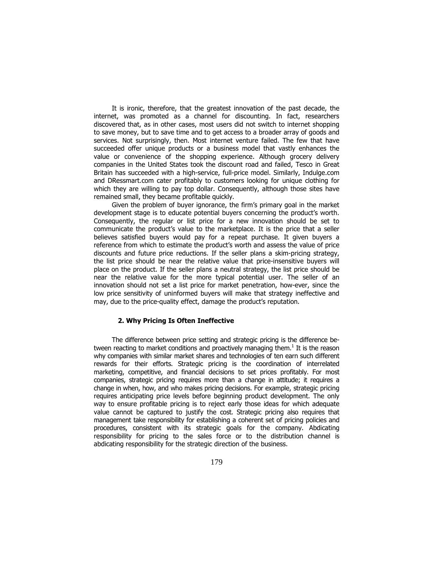It is ironic, therefore, that the greatest innovation of the past decade, the internet, was promoted as a channel for discounting. In fact, researchers discovered that, as in other cases, most users did not switch to internet shopping to save money, but to save time and to get access to a broader array of goods and services. Not surprisingly, then. Most internet venture failed. The few that have succeeded offer unique products or a business model that vastly enhances the value or convenience of the shopping experience. Although grocery delivery companies in the United States took the discount road and failed, Tesco in Great Britain has succeeded with a high-service, full-price model. Similarly, Indulge.com and DRessmart.com cater profitably to customers looking for unique clothing for which they are willing to pay top dollar. Consequently, although those sites have remained small, they became profitable quickly.

Given the problem of buyer ignorance, the firm's primary goal in the market development stage is to educate potential buyers concerning the product's worth. Consequently, the regular or list price for a new innovation should be set to communicate the product's value to the marketplace. It is the price that a seller believes satisfied buyers would pay for a repeat purchase. It given buyers a reference from which to estimate the product's worth and assess the value of price discounts and future price reductions. If the seller plans a skim-pricing strategy, the list price should be near the relative value that price-insensitive buyers will place on the product. If the seller plans a neutral strategy, the list price should be near the relative value for the more typical potential user. The seller of an innovation should not set a list price for market penetration, how-ever, since the low price sensitivity of uninformed buyers will make that strategy ineffective and may, due to the price-quality effect, damage the product's reputation.

## 2. Why Pricing Is Often Ineffective

The difference between price setting and strategic pricing is the difference between reacting to market conditions and proactively managing them. $^1$  It is the reason why companies with similar market shares and technologies of ten earn such different rewards for their efforts. Strategic pricing is the coordination of interrelated marketing, competitive, and financial decisions to set prices profitably. For most companies, strategic pricing requires more than a change in attitude; it requires a change in when, how, and who makes pricing decisions. For example, strategic pricing requires anticipating price levels before beginning product development. The only way to ensure profitable pricing is to reject early those ideas for which adequate value cannot be captured to justify the cost. Strategic pricing also requires that management take responsibility for establishing a coherent set of pricing policies and procedures, consistent with its strategic goals for the company. Abdicating responsibility for pricing to the sales force or to the distribution channel is abdicating responsibility for the strategic direction of the business.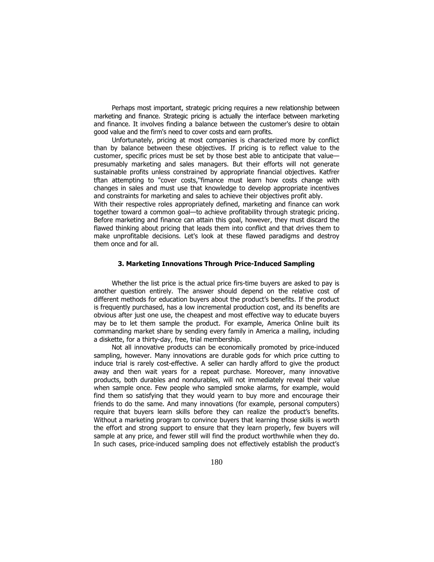Perhaps most important, strategic pricing requires a new relationship between marketing and finance. Strategic pricing is actually the interface between marketing and finance. It involves finding a balance between the customer's desire to obtain good value and the firm's need to cover costs and earn profits.

Unfortunately, pricing at most companies is characterized more by conflict than by balance between these objectives. If pricing is to reflect value to the customer, specific prices must be set by those best able to anticipate that value presumably marketing and sales managers. But their efforts will not generate sustainable profits unless constrained by appropriate financial objectives. Katfrer tftan attempting to "cover costs,''fimance must learn how costs change with changes in sales and must use that knowledge to develop appropriate incentives and constraints for marketing and sales to achieve their objectives profit ably.

With their respective roles appropriately defined, marketing and finance can work together toward a common goal—to achieve profitability through strategic pricing. Before marketing and finance can attain this goal, however, they must discard the flawed thinking about pricing that leads them into conflict and that drives them to make unprofitable decisions. Let's look at these flawed paradigms and destroy them once and for all.

#### 3. Marketing Innovations Through Price-Induced Sampling

Whether the list price is the actual price firs-time buyers are asked to pay is another question entirely. The answer should depend on the relative cost of different methods for education buyers about the product's benefits. If the product is frequently purchased, has a low incremental production cost, and its benefits are obvious after just one use, the cheapest and most effective way to educate buyers may be to let them sample the product. For example, America Online built its commanding market share by sending every family in America a mailing, including a diskette, for a thirty-day, free, trial membership.

Not all innovative products can be economically promoted by price-induced sampling, however. Many innovations are durable gods for which price cutting to induce trial is rarely cost-effective. A seller can hardly afford to give the product away and then wait years for a repeat purchase. Moreover, many innovative products, both durables and nondurables, will not immediately reveal their value when sample once. Few people who sampled smoke alarms, for example, would find them so satisfying that they would yearn to buy more and encourage their friends to do the same. And many innovations (for example, personal computers) require that buyers learn skills before they can realize the product's benefits. Without a marketing program to convince buyers that learning those skills is worth the effort and strong support to ensure that they learn properly, few buyers will sample at any price, and fewer still will find the product worthwhile when they do. In such cases, price-induced sampling does not effectively establish the product's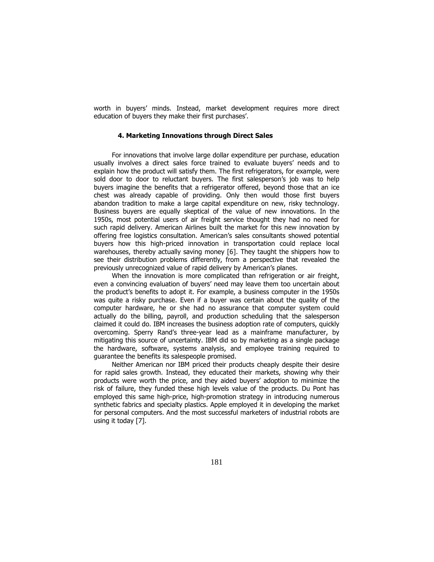worth in buyers' minds. Instead, market development requires more direct education of buyers they make their first purchases'.

### 4. Marketing Innovations through Direct Sales

For innovations that involve large dollar expenditure per purchase, education usually involves a direct sales force trained to evaluate buyers' needs and to explain how the product will satisfy them. The first refrigerators, for example, were sold door to door to reluctant buyers. The first salesperson's job was to help buyers imagine the benefits that a refrigerator offered, beyond those that an ice chest was already capable of providing. Only then would those first buyers abandon tradition to make a large capital expenditure on new, risky technology. Business buyers are equally skeptical of the value of new innovations. In the 1950s, most potential users of air freight service thought they had no need for such rapid delivery. American Airlines built the market for this new innovation by offering free logistics consultation. American's sales consultants showed potential buyers how this high-priced innovation in transportation could replace local warehouses, thereby actually saving money [6]. They taught the shippers how to see their distribution problems differently, from a perspective that revealed the previously unrecognized value of rapid delivery by American's planes.

When the innovation is more complicated than refrigeration or air freight, even a convincing evaluation of buyers' need may leave them too uncertain about the product's benefits to adopt it. For example, a business computer in the 1950s was quite a risky purchase. Even if a buyer was certain about the quality of the computer hardware, he or she had no assurance that computer system could actually do the billing, payroll, and production scheduling that the salesperson claimed it could do. IBM increases the business adoption rate of computers, quickly overcoming. Sperry Rand's three-year lead as a mainframe manufacturer, by mitigating this source of uncertainty. IBM did so by marketing as a single package the hardware, software, systems analysis, and employee training required to guarantee the benefits its salespeople promised.

Neither American nor IBM priced their products cheaply despite their desire for rapid sales growth. Instead, they educated their markets, showing why their products were worth the price, and they aided buyers' adoption to minimize the risk of failure, they funded these high levels value of the products. Du Pont has employed this same high-price, high-promotion strategy in introducing numerous synthetic fabrics and specialty plastics. Apple employed it in developing the market for personal computers. And the most successful marketers of industrial robots are using it today [7].